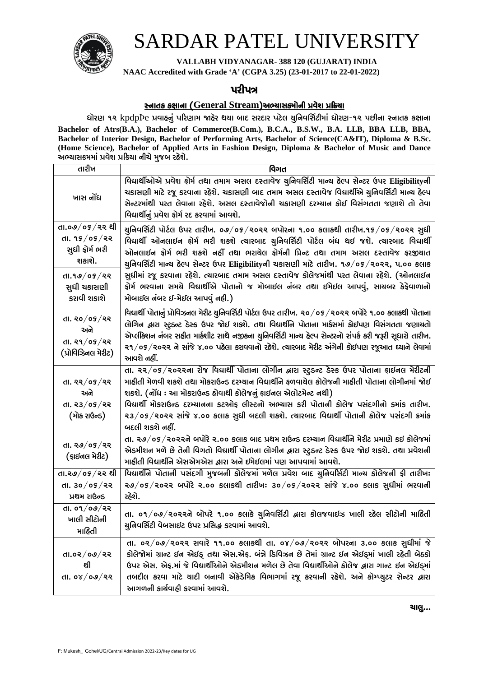

# SARDAR PATEL UNIVERSITY

VALLABH VIDYANAGAR-388 120 (GUJARAT) INDIA

NAAC Accredited with Grade 'A' (CGPA 3.25) (23-01-2017 to 22-01-2022)

### પરીપત્ર

#### <u> સ્નાતક કક્ષાના (General Stream)અભ્યાસક્મોની પ્રવેશ પ્રક્રિયા</u>

ધોરણ ૧૨ kpdpPe પ્રવાહનું પરિણામ જાહેર થયા બાદ સરદાર પટેલ ચુનિવર્સિટીમાં ધોરણ-૧૨ પછીના સ્નાતક કક્ષાના Bachelor of Atrs(B.A.), Bachelor of Commerce(B.Com.), B.C.A., B.S.W., B.A. LLB, BBA LLB, BBA, Bachelor of Interior Design, Bachelor of Performing Arts, Bachelor of Science(CA&IT), Diploma & B.Sc. (Home Science), Bachelor of Applied Arts in Fashion Design, Diploma & Bachelor of Music and Dance અભ્યાસક્રમમાં પ્રવેશ પ્રક્રિયા નીચે મુજબ રહેશે.

| તારીખ                                                                       | વિગત                                                                                                                                                                                                                                                                                                                                                                                                                                                                                                                                                                                         |
|-----------------------------------------------------------------------------|----------------------------------------------------------------------------------------------------------------------------------------------------------------------------------------------------------------------------------------------------------------------------------------------------------------------------------------------------------------------------------------------------------------------------------------------------------------------------------------------------------------------------------------------------------------------------------------------|
| ખાસ નોંધ                                                                    | વિદ્યાર્થીઓએ પ્રવેશ ફોર્મ તથા તમામ અસલ દસ્તાવેજ ચુનિવર્સિટી માન્ય હેલ્પ સેન્ટર ઉપર Eligibilityની<br>ચકાસણી માટે રજૂ કરવાના રહેશે. ચકાસણી બાદ તમામ અસલ દસ્તાવેજ વિદ્યાર્થીએ ચુનિવર્સિટી માન્ચ હેલ્પ<br>સેન્ટરમાંથી પરત લેવાના રહેશે. અસલ દસ્તાવેજોની ચકાસણી દરમ્યાન કોઈ વિસંગતતા જણાશે તો તેવા<br>વિદ્યાર્થીનું પ્રવેશ ફોર્મ રદ કરવામાં આવશે.                                                                                                                                                                                                                                                 |
| તા.૦૭/૦૬/૨૨ થી<br>તા. ૧૬/૦૬/૨૨<br>સુધી કોર્મ ભરી<br>શકાશે.                  | ચુનિવર્સિટી પોર્ટલ ઉપર તારીખ. ૦૭/૦૬/૨૦૨૨ બપોરના ૧.૦૦ કલાકથી તારીખ.૧૬/૦૬/૨૦૨૨ સુધી<br>વિદ્યાર્થી ઓનલાઈન ફોર્મ ભરી શકશે ત્યારબાદ ચુનિવર્સિટી પોર્ટલ બંધ થઈ જશે. ત્યારબાદ વિદ્યાર્થી<br>ઓનલાઈન ફોર્મ ભરી શકશે નહીં તથા ભરાચેલ ફોર્મની પ્રિન્ટ તથા તમામ અસલ દસ્તાવેજ ફરજીચાત<br>ચુનિવર્સિટી માન્ય હેલ્પ સેન્ટર ઉપર Eligibilityની ચકાસણી માટે તારીખ. ૧૭/૦૬/૨૦૨૨, ૫.૦૦ કલાક<br>સુધીમાં રજૂ કરવાના રહેશે. ત્યારબાદ તમામ અસલ દસ્તાવેજ કોલેજમાંથી પરત લેવાના રહેશે. (ઓનલાઈન<br>ફોર્મ ભરવાના સમચે વિદ્યાર્થીએ પોતાનો જ મોબાઈલ નંબર તથા ઈમેઈલ આપવું, સાચબર કેફેવાળાનો<br>મોબાઈલ નંબર ઈ-મેઈલ આપવું નહી.) |
| તા.૧૭/૦૬/૨૨<br>સુધી ચકાસણી<br>કરાવી શકાશે                                   |                                                                                                                                                                                                                                                                                                                                                                                                                                                                                                                                                                                              |
| તા. ૨૦ $/$ ૦૬ $/$ ૨૨<br>અને<br>$dl.$ २१ $/$ ०५ $/$ २२<br>(પ્રોવિઝિનલ મેરીટ) | વિદ્યાર્થી પોતાનું પ્રોવિઝનલ મેરીટ ચુનિવર્સિટી પોર્ટલ ઉપર તારીખ. ૨૦/૦૬/૨૦૨૨ બપોરે ૧.૦૦ કલાકથી પોતાના<br>લોગિન દ્વારા સ્ટુડન્ટ ડેસ્ક ઉપર જોઈ શકશે. તથા વિદ્યાર્થીને પોતાના માર્કસમાં કોઈપણ વિસંગતતા જણાયતો<br>એપ્લીકેશન નંબર સહીત માર્કશીટ સાથે નજીકના ચુનિવર્સિટી માન્ય હેલ્પ સેન્ટરનો સંપર્ક કરી જરૂરી સૂધારો તારીખ.<br>૨૧/૦૬/૨૦૨૨ ને સાંજે ૪.૦૦ પહેલા કરાવવાનો રહેશે. ત્યારબાદ મેરીટ અંગેની કોઈપણ રજૂઆત ઘ્યાને લેવામાં<br>આવશે નહીં.                                                                                                                                                       |
| તા. ૨૨ $/$ ०૬ $/$ ૨૨<br>અને<br>તા. ૨૩ $/$ ૦૬ $/$ ૨૨<br>(મોક રાઉન્ડ)         | તા. ૨૨/૦૬/૨૦૨૨ના રોજ વિદ્યાર્થી પોતાના લોગીન દ્વારા સ્ટુડન્ટ ડેસ્ક ઉપર પોતાના ફાઈનલ મેરીટની<br>માહીતી મેળવી શકશે તથા મોકરાઉન્ડ દરમ્ચાન વિદ્યાર્થીને ફળવાચેલ કોલેજની માહીતી પોતાના લોગીનમાં જોઈ<br>શકશે. (નોંધ : આ મોકરાઉન્ડ હોવાથી કોલેજનું ફાઈનલ એલોટમેન્ટ નથી)<br>વિદ્યાર્થી મોકરાઉન્ડ દરમ્યાનના કટઓફ લીસ્ટનો અભ્યાસ કરી પોતાની કોલેજ પસંદગીનો કમાંક તારીખ.<br>૨૩/૦૬/૨૦૨૨ સાંજે ૪.૦૦ કલાક સુધી બદલી શકશે. ત્યારબાદ વિદ્યાર્થી પોતાની કોલેજ પસંદગી ક્રમાંક<br>બદલી શકશે નહીં.                                                                                                               |
| તા. ૨૭/૦૬/૨૨<br>(ફાઈનલ મેરીટ)                                               | તા. ૨૭/૦૬/૨૦૨૨ને બપોરે ૨.૦૦ કલાક બાદ પ્રથમ રાઉન્ડ દરમ્યાન વિદ્યાર્થીને મેરીટ પ્રમાણે કઈ કોલેજમાં<br>એડમીશન મળે છે તેની વિગતો વિદ્યાર્થી પોતાના લોગીન દ્વારા સ્ટુડન્ટ ડેસ્ક ઉપર જોઈ શકશે. તથા પ્રવેશની<br>માહીતી વિદ્યાર્થીને એસએમએસ દ્વારા અને ઈમેઈલમાં પણ આપવામાં આવશે.                                                                                                                                                                                                                                                                                                                     |
| તા.૨૭/૦૬/૨૨ થી<br>dl. ३०/०५/२२<br>પ્રથમ રાઉન્ડ                              | વિદ્યાર્થીને પોતાની પસંદગી મુજબની કોલેજમાં મળેલ પ્રવેશ બાદ ચુનિવર્સિટી માન્ચ કોલેજની ફી તારીખઃ<br>$29/05/2022$ બપોરે २.०० કલાકથી તારીખ: 30/05/२०२२ સાંજે ૪.०० કલાક સુધીમાં ભરવાની<br>રહેશે.                                                                                                                                                                                                                                                                                                                                                                                                  |
| તા. ૦૧/૦૭/૨૨<br>ખાલી સીટોની<br>માહિતી                                       | તા. ૦૧/૦૭/૨૦૨૨ને બોપરે ૧.૦૦ કલાકે ચુનિવર્સિટી દ્વારા કોલજવાઇઝ ખાલી રહેલ સીટોની માહિતી<br>યુનિવર્સિટી વેબસાઈટ ઉપર પ્રસિદ્ધ કરવામાં આવશે.                                                                                                                                                                                                                                                                                                                                                                                                                                                      |
| તા.૦૨ $/$ ૦૭ $/$ ૨૨<br>थी<br>તા. ૦૪/૦૭/૨૨                                   | તા. ૦૨/૦૭/૨૦૨૨ સવારે ૧૧.૦૦ કલાકથી તા. ૦૪/૦૭/૨૦૨૨ બોપરના ૩.૦૦ કલાક સુધીમાં જે<br>કોલેજોમાં ગ્રાન્ટ ઇન એઇડ્ તથા એસ.એફ. બંન્ને ડિવિઝન છે તેમાં ગ્રાન્ટ ઇન એઇડ્માં ખાલી રહેતી બેઠકો<br>ઉપર એસ. એફ.માં જે વિદ્યાર્થીઓને એડમીશન મળેલ છે તેવા વિદ્યાર્થીઓને કોલેજ દ્વારા ગાન્ટ ઇન એઈડ્માં<br>તબદીલ કરવા માટે ચાદી બનાવી એકેડેમિક વિભાગમાં રજૂ કરવાની રહેશે. અને કોમ્પ્ચુટર સેન્ટર દ્વારા<br>આગળની કાર્ચવાહી કરવામાં આવશે.                                                                                                                                                                           |